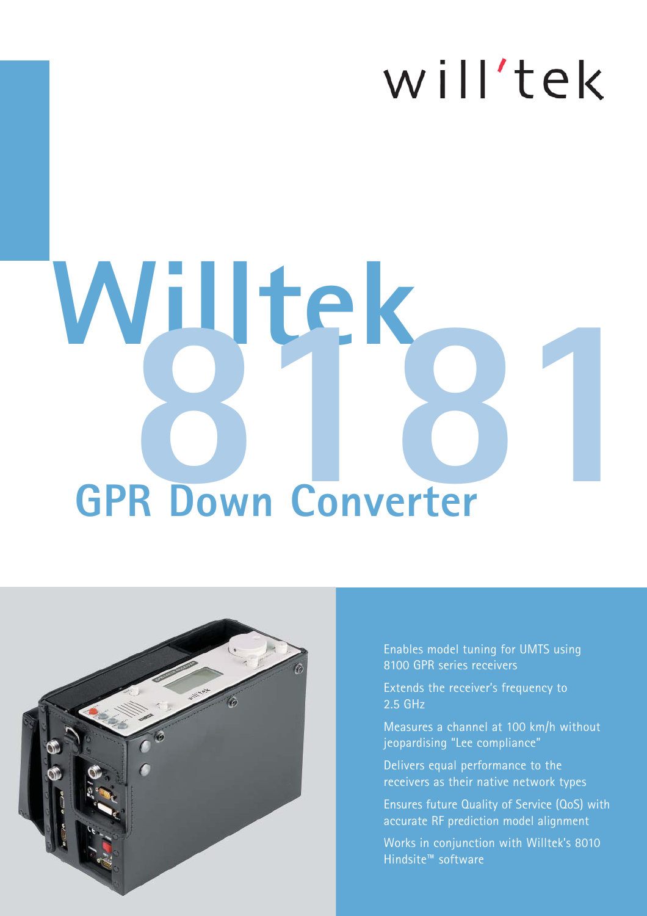## will'tek

# **GPR Down Converter Willtek 8181**



Enables model tuning for UMTS using 8100 GPR series receivers

Extends the receiver's frequency to 2.5 GHz

Measures a channel at 100 km/h without jeopardising "Lee compliance"

Delivers equal performance to the receivers as their native network types

Ensures future Quality of Service (QoS) with accurate RF prediction model alignment

Works in conjunction with Willtek's 8010 Hindsite™ software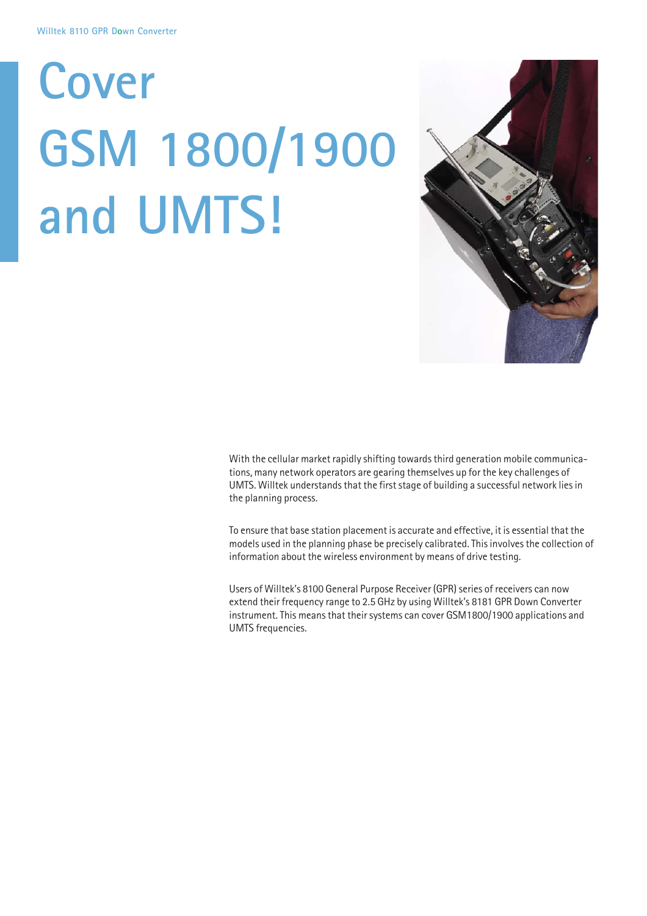# **Cover GSM 1800/1900 and UMTS!**



With the cellular market rapidly shifting towards third generation mobile communications, many network operators are gearing themselves up for the key challenges of UMTS. Willtek understands that the first stage of building a successful network lies in the planning process.

To ensure that base station placement is accurate and effective, it is essential that the models used in the planning phase be precisely calibrated. This involves the collection of information about the wireless environment by means of drive testing.

Users of Willtek's 8100 General Purpose Receiver (GPR) series of receivers can now extend their frequency range to 2.5 GHz by using Willtek's 8181 GPR Down Converter instrument. This means that their systems can cover GSM1800/1900 applications and UMTS frequencies.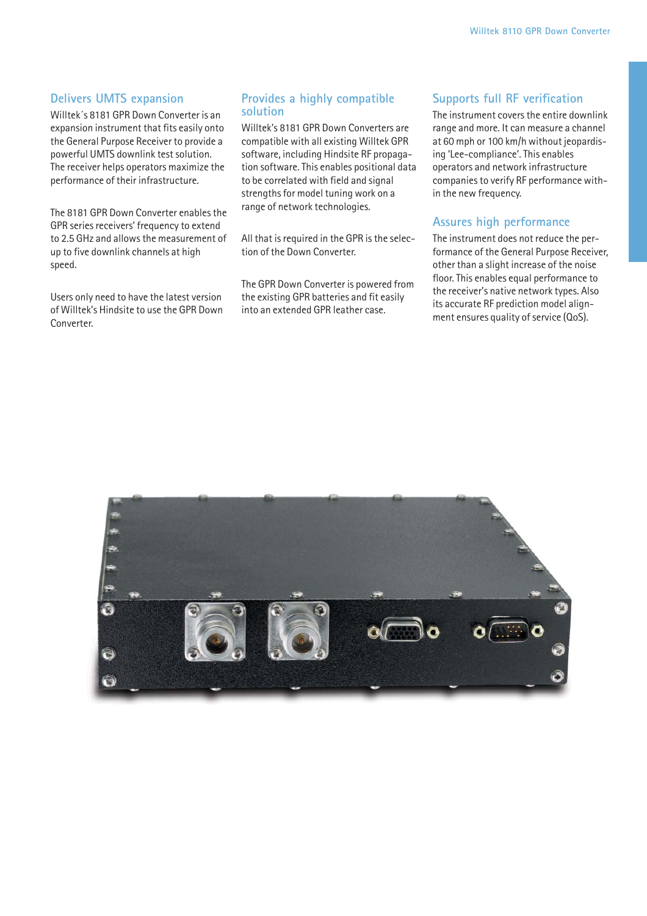#### **Delivers UMTS expansion**

Willtek´s 8181 GPR Down Converter is an expansion instrument that fits easily onto the General Purpose Receiver to provide a powerful UMTS downlink test solution. The receiver helps operators maximize the performance of their infrastructure.

The 8181 GPR Down Converter enables the GPR series receivers' frequency to extend to 2.5 GHz and allows the measurement of up to five downlink channels at high speed.

Users only need to have the latest version of Willtek's Hindsite to use the GPR Down Converter.

#### **Provides a highly compatible solution**

Willtek's 8181 GPR Down Converters are compatible with all existing Willtek GPR software, including Hindsite RF propagation software. This enables positional data to be correlated with field and signal strengths for model tuning work on a range of network technologies.

All that is required in the GPR is the selection of the Down Converter.

The GPR Down Converter is powered from the existing GPR batteries and fit easily into an extended GPR leather case.

#### **Supports full RF verification**

The instrument covers the entire downlink range and more. It can measure a channel at 60 mph or 100 km/h without jeopardising 'Lee-compliance'. This enables operators and network infrastructure companies to verify RF performance within the new frequency.

#### **Assures high performance**

The instrument does not reduce the performance of the General Purpose Receiver, other than a slight increase of the noise floor. This enables equal performance to the receiver's native network types. Also its accurate RF prediction model alignment ensures quality of service (QoS).